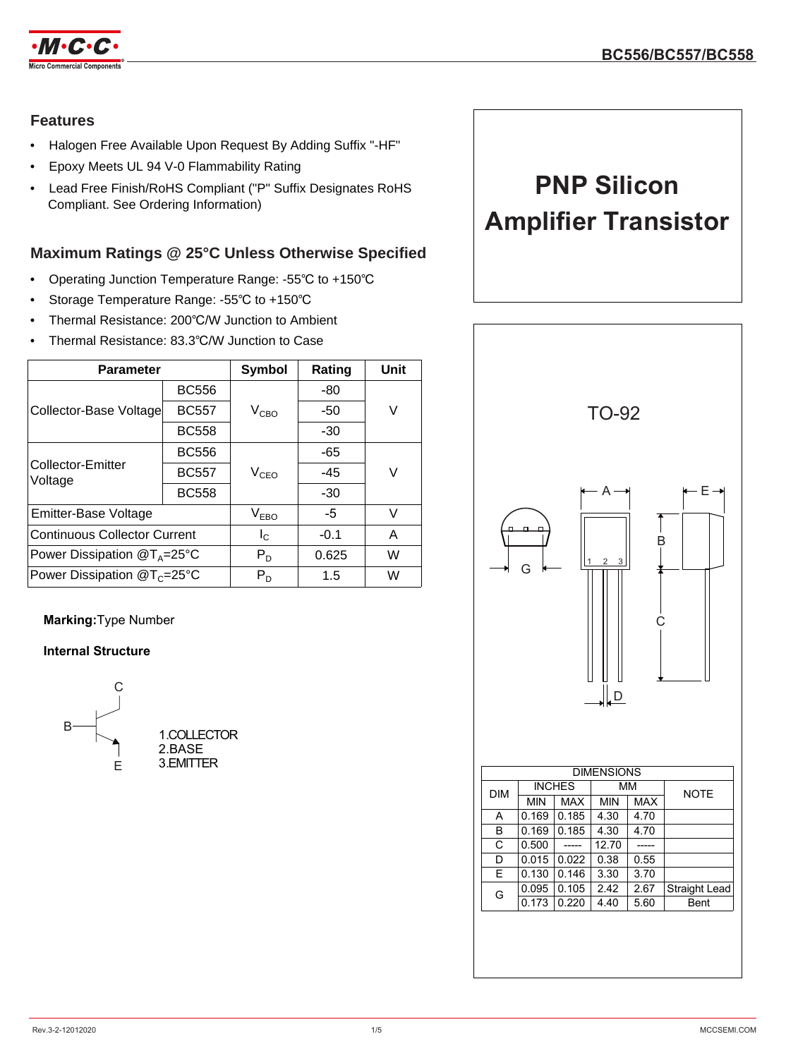

### **Features**

- Halogen Free Available Upon Request By Adding Suffix "-HF"
- Epoxy Meets UL 94 V-0 Flammability Rating
- Lead Free Finish/RoHS Compliant ("P" Suffix Designates RoHS Compliant. See Ordering Information)

## **Maximum Ratings @ 25°C Unless Otherwise Specified**

- Operating Junction Temperature Range: -55℃ to +150℃
- Storage Temperature Range: -55℃ to +150℃
- Thermal Resistance: 200℃/W Junction to Ambient
- Thermal Resistance: 83.3℃/W Junction to Case

| <b>Parameter</b>                    | <b>Symbol</b> | Rating           | Unit   |   |
|-------------------------------------|---------------|------------------|--------|---|
| Collector-Base Voltage              | <b>BC556</b>  |                  | -80    |   |
|                                     | <b>BC557</b>  | $V_{CBO}$        | -50    | V |
|                                     | <b>BC558</b>  |                  | $-30$  |   |
| <b>Collector-Emitter</b><br>Voltage | <b>BC556</b>  |                  | -65    | V |
|                                     | <b>BC557</b>  | $V_{CEO}$        | -45    |   |
|                                     | <b>BC558</b>  |                  | $-30$  |   |
| Emitter-Base Voltage                |               | V <sub>EBO</sub> | $-5$   | V |
| <b>Continuous Collector Current</b> |               | $I_{\rm C}$      | $-0.1$ | Α |
| Power Dissipation $@T_A=25°C$       |               | $P_D$            | 0.625  | W |
| Power Dissipation $@T_c=25°C$       |               | $P_D$            | 1.5    | W |

### **Marking:**Type Number

### **Internal Structure**



**PNP Silicon Amplifier Transistor**

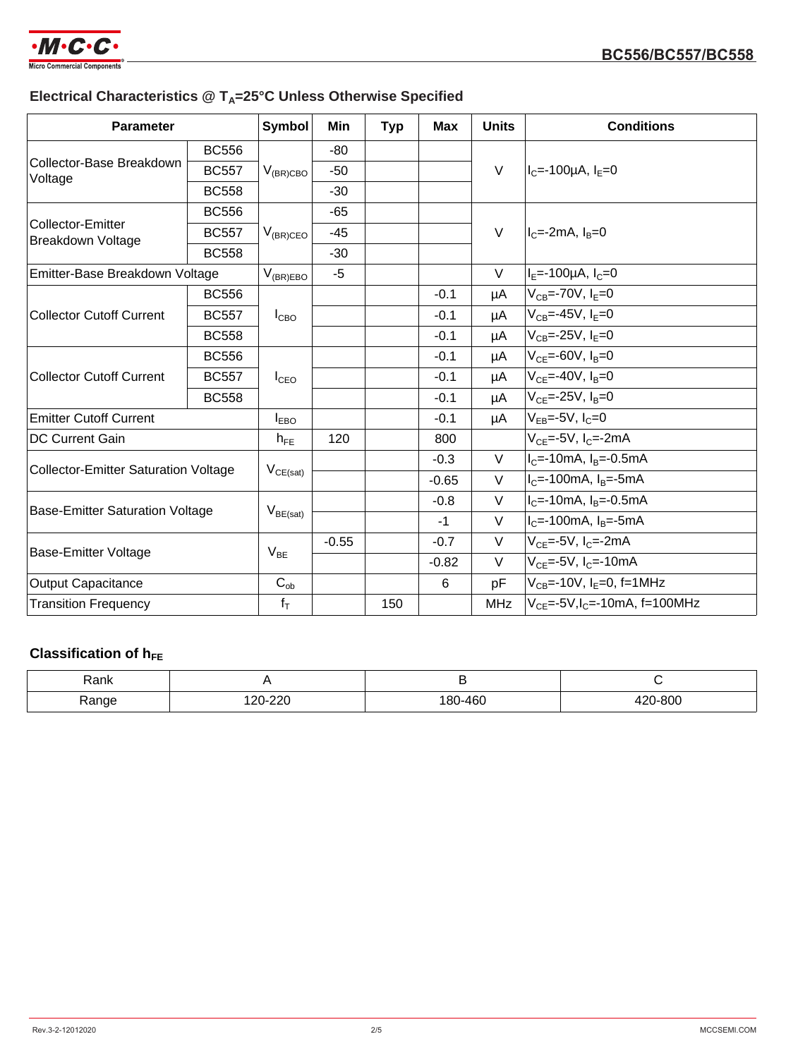

# **Electrical Characteristics @ T<sub>A</sub>=25°C Unless Otherwise Specified**

| <b>Parameter</b>                              |              | <b>Symbol</b>    | Min     | <b>Typ</b> | <b>Max</b> | <b>Units</b> | <b>Conditions</b>                         |
|-----------------------------------------------|--------------|------------------|---------|------------|------------|--------------|-------------------------------------------|
| Collector-Base Breakdown<br>Voltage           | <b>BC556</b> | $V_{(BR)CBO}$    | $-80$   |            |            | $\vee$       | $I_C = -100 \mu A$ , $I_F = 0$            |
|                                               | <b>BC557</b> |                  | $-50$   |            |            |              |                                           |
|                                               | <b>BC558</b> |                  | $-30$   |            |            |              |                                           |
| Collector-Emitter<br><b>Breakdown Voltage</b> | <b>BC556</b> |                  | -65     |            |            |              |                                           |
|                                               | <b>BC557</b> | $V_{(BR)CEO}$    | $-45$   |            |            | $\vee$       | $I_c = -2mA$ , $I_B = 0$                  |
|                                               | <b>BC558</b> |                  | $-30$   |            |            |              |                                           |
| Emitter-Base Breakdown Voltage                |              | $V_{(BR)EBO}$    | $-5$    |            |            | $\vee$       | $I_E = -100 \mu A$ , $I_C = 0$            |
| <b>Collector Cutoff Current</b>               | <b>BC556</b> | $I_{CBO}$        |         |            | $-0.1$     | μA           | $V_{CB} = -70V, I_F = 0$                  |
|                                               | <b>BC557</b> |                  |         |            | $-0.1$     | μA           | $V_{CB} = -45V$ , $I_F = 0$               |
|                                               | <b>BC558</b> |                  |         |            | $-0.1$     | μA           | $V_{CB} = -25V$ , $I_F = 0$               |
| <b>Collector Cutoff Current</b>               | <b>BC556</b> |                  |         |            | $-0.1$     | μA           | $V_{CF} = -60V, I_B = 0$                  |
|                                               | <b>BC557</b> | $I_{\text{CEO}}$ |         |            | $-0.1$     | μA           | $V_{CF} = -40V, I_B = 0$                  |
|                                               | <b>BC558</b> |                  |         |            | $-0.1$     | μA           | $V_{CF} = -25V, I_B = 0$                  |
| <b>Emitter Cutoff Current</b>                 |              | $I_{EBO}$        |         |            | $-0.1$     | μA           | $V_{FB} = -5V$ , $I_C = 0$                |
| DC Current Gain                               |              | $h_{FE}$         | 120     |            | 800        |              | $V_{CF}$ =-5V, $I_{C}$ =-2mA              |
| <b>Collector-Emitter Saturation Voltage</b>   |              | $V_{CE(sat)}$    |         |            | $-0.3$     | $\vee$       | $I_C = -10mA$ , $I_B = -0.5mA$            |
|                                               |              |                  |         |            | $-0.65$    | $\vee$       | $IC=-100mA$ , $IB=-5mA$                   |
| <b>Base-Emitter Saturation Voltage</b>        |              | $V_{BE(sat)}$    |         |            | $-0.8$     | $\vee$       | $I_C$ =-10mA, $I_B$ =-0.5mA               |
|                                               |              |                  |         |            | $-1$       | V            | $IC=-100mA, IB=-5mA$                      |
| <b>Base-Emitter Voltage</b>                   |              | $V_{BE}$         | $-0.55$ |            | $-0.7$     | V            | $V_{CE}$ =-5V, I <sub>C</sub> =-2mA       |
|                                               |              |                  |         |            | $-0.82$    | $\vee$       | $V_{CF}$ =-5V, $I_{C}$ =-10mA             |
| <b>Output Capacitance</b>                     |              | $C_{ob}$         |         |            | 6          | pF           | $V_{CB}$ =-10V, I <sub>F</sub> =0, f=1MHz |
| <b>Transition Frequency</b>                   |              | $f_T$            |         | 150        |            | <b>MHz</b>   | $V_{CF} = -5V, I_{C} = -10mA, f = 100MHz$ |

# **Classification of hFE**

| Rank  |         |         |         |
|-------|---------|---------|---------|
| Range | 120-220 | 180-460 | 420-800 |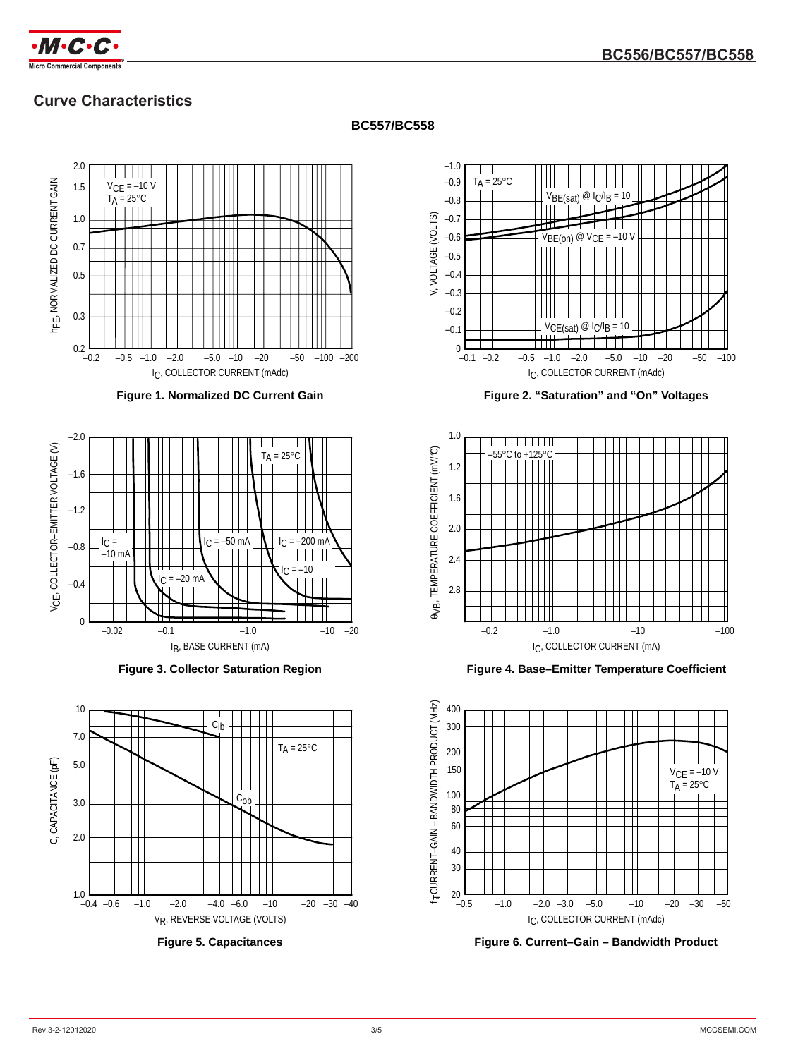

# **Curve Characteristics**

### **BC557/BC558**







**Figure 3. Collector Saturation Region**



**Figure 5. Capacitances**



**Figure 2. "Saturation" and "On" Voltages**



**Figure 4. Base–Emitter Temperature Coefficient**



**Figure 6. Current–Gain – Bandwidth Product**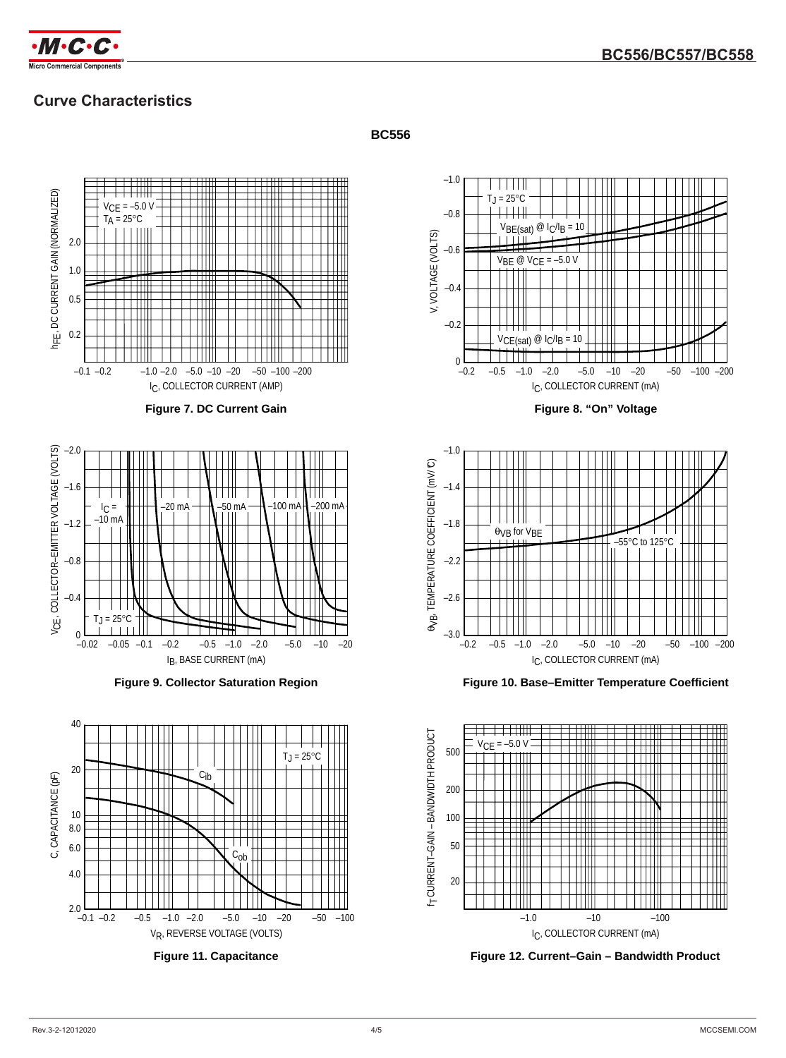

# **Curve Characteristics**





**Figure 11. Capacitance**

### **BC556**



**Figure 8. "On" Voltage**



**Figure 10. Base–Emitter Temperature Coefficient**



**Figure 12. Current–Gain – Bandwidth Product**